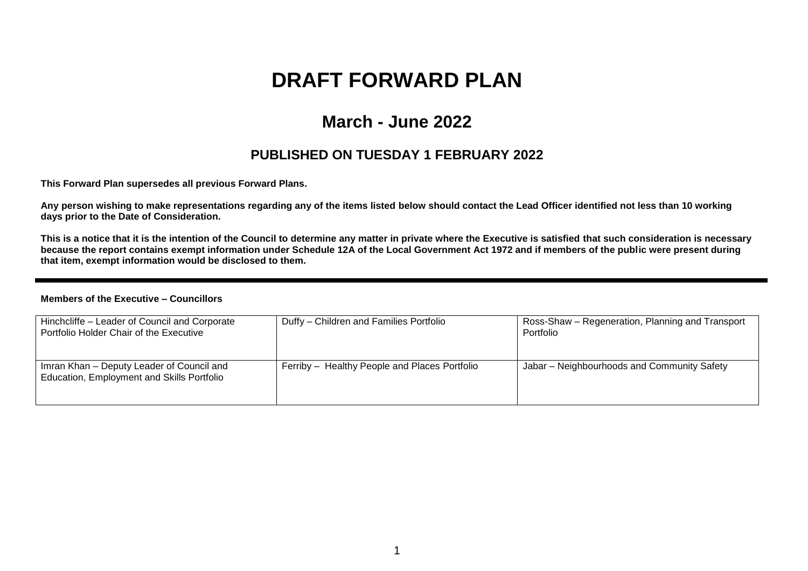# **DRAFT FORWARD PLAN**

## **March - June 2022**

### **PUBLISHED ON TUESDAY 1 FEBRUARY 2022**

**This Forward Plan supersedes all previous Forward Plans.**

**Any person wishing to make representations regarding any of the items listed below should contact the Lead Officer identified not less than 10 working days prior to the Date of Consideration.** 

**This is a notice that it is the intention of the Council to determine any matter in private where the Executive is satisfied that such consideration is necessary because the report contains exempt information under Schedule 12A of the Local Government Act 1972 and if members of the public were present during that item, exempt information would be disclosed to them.**

#### **Members of the Executive – Councillors**

| Hinchcliffe - Leader of Council and Corporate<br>Portfolio Holder Chair of the Executive | Duffy - Children and Families Portfolio       | Ross-Shaw – Regeneration, Planning and Transport<br>Portfolio |
|------------------------------------------------------------------------------------------|-----------------------------------------------|---------------------------------------------------------------|
| Imran Khan - Deputy Leader of Council and<br>Education, Employment and Skills Portfolio  | Ferriby - Healthy People and Places Portfolio | Jabar - Neighbourhoods and Community Safety                   |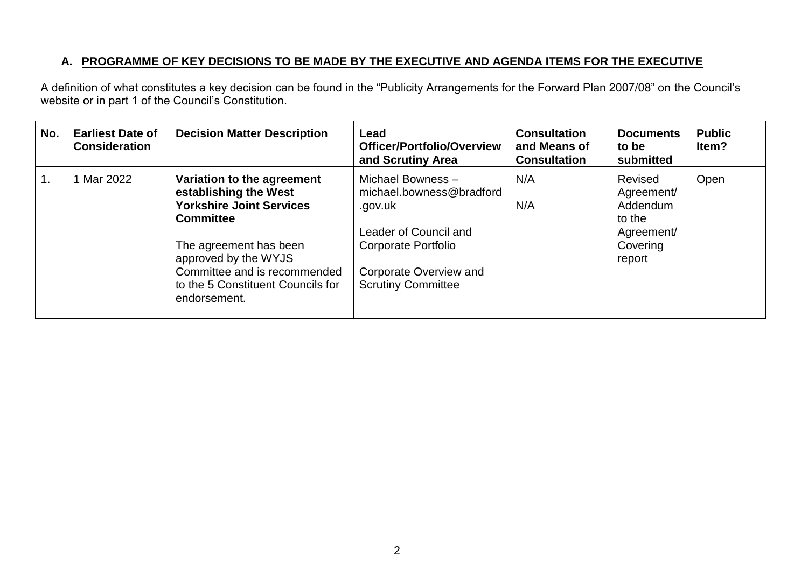#### **A. PROGRAMME OF KEY DECISIONS TO BE MADE BY THE EXECUTIVE AND AGENDA ITEMS FOR THE EXECUTIVE**

A definition of what constitutes a key decision can be found in the "Publicity Arrangements for the Forward Plan 2007/08" on the Council's website or in part 1 of the Council's Constitution.

| No.            | <b>Earliest Date of</b><br><b>Consideration</b> | <b>Decision Matter Description</b>                                                                                                                                                                                                                | Lead<br><b>Officer/Portfolio/Overview</b><br>and Scrutiny Area                                                                                                  | <b>Consultation</b><br>and Means of<br><b>Consultation</b> | <b>Documents</b><br>to be<br>submitted                                          | <b>Public</b><br>ltem? |
|----------------|-------------------------------------------------|---------------------------------------------------------------------------------------------------------------------------------------------------------------------------------------------------------------------------------------------------|-----------------------------------------------------------------------------------------------------------------------------------------------------------------|------------------------------------------------------------|---------------------------------------------------------------------------------|------------------------|
| $\mathbf{1}$ . | Mar 2022                                        | Variation to the agreement<br>establishing the West<br><b>Yorkshire Joint Services</b><br><b>Committee</b><br>The agreement has been<br>approved by the WYJS<br>Committee and is recommended<br>to the 5 Constituent Councils for<br>endorsement. | Michael Bowness -<br>michael.bowness@bradford<br>.gov.uk<br>Leader of Council and<br>Corporate Portfolio<br>Corporate Overview and<br><b>Scrutiny Committee</b> | N/A<br>N/A                                                 | Revised<br>Agreement/<br>Addendum<br>to the<br>Agreement/<br>Covering<br>report | Open                   |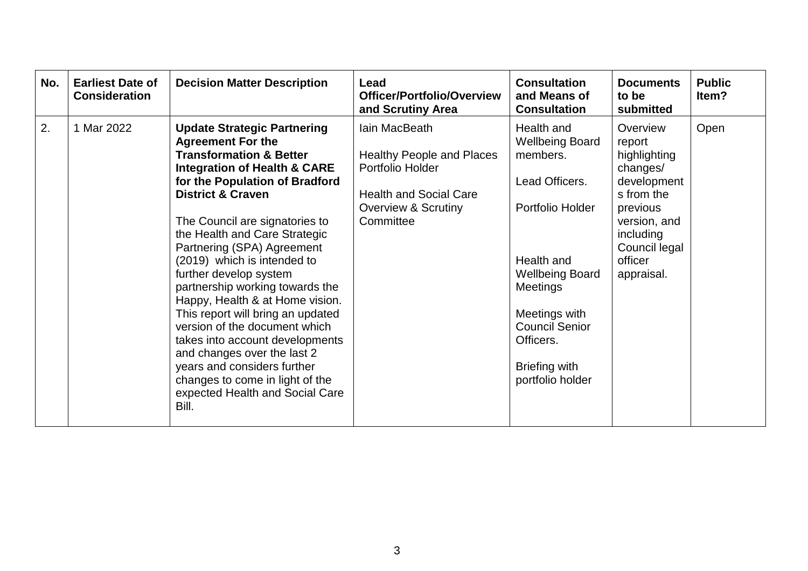| No. | <b>Earliest Date of</b><br><b>Consideration</b> | <b>Decision Matter Description</b>                                                                                                                                                                                                                                                                                                                                                                                                                                                                                                                                                                                                                                                                      | Lead<br><b>Officer/Portfolio/Overview</b><br>and Scrutiny Area                                                                             | <b>Consultation</b><br>and Means of<br><b>Consultation</b>                                                                                                                                                                                    | <b>Documents</b><br>to be<br>submitted                                                                                                                         | <b>Public</b><br>ltem? |
|-----|-------------------------------------------------|---------------------------------------------------------------------------------------------------------------------------------------------------------------------------------------------------------------------------------------------------------------------------------------------------------------------------------------------------------------------------------------------------------------------------------------------------------------------------------------------------------------------------------------------------------------------------------------------------------------------------------------------------------------------------------------------------------|--------------------------------------------------------------------------------------------------------------------------------------------|-----------------------------------------------------------------------------------------------------------------------------------------------------------------------------------------------------------------------------------------------|----------------------------------------------------------------------------------------------------------------------------------------------------------------|------------------------|
| 2.  | 1 Mar 2022                                      | <b>Update Strategic Partnering</b><br><b>Agreement For the</b><br><b>Transformation &amp; Better</b><br><b>Integration of Health &amp; CARE</b><br>for the Population of Bradford<br><b>District &amp; Craven</b><br>The Council are signatories to<br>the Health and Care Strategic<br>Partnering (SPA) Agreement<br>(2019) which is intended to<br>further develop system<br>partnership working towards the<br>Happy, Health & at Home vision.<br>This report will bring an updated<br>version of the document which<br>takes into account developments<br>and changes over the last 2<br>years and considers further<br>changes to come in light of the<br>expected Health and Social Care<br>Bill. | Iain MacBeath<br><b>Healthy People and Places</b><br>Portfolio Holder<br><b>Health and Social Care</b><br>Overview & Scrutiny<br>Committee | Health and<br><b>Wellbeing Board</b><br>members.<br>Lead Officers.<br>Portfolio Holder<br>Health and<br><b>Wellbeing Board</b><br>Meetings<br>Meetings with<br><b>Council Senior</b><br>Officers.<br><b>Briefing with</b><br>portfolio holder | Overview<br>report<br>highlighting<br>changes/<br>development<br>s from the<br>previous<br>version, and<br>including<br>Council legal<br>officer<br>appraisal. | Open                   |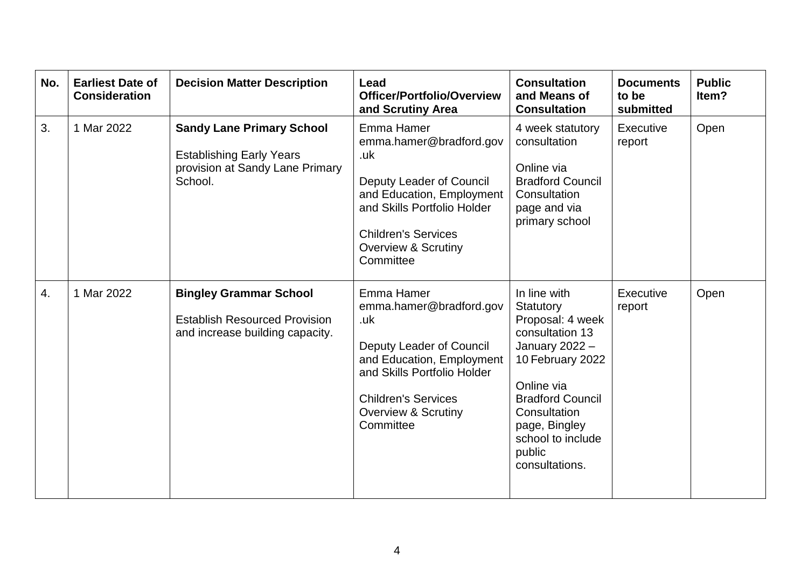| No.              | <b>Earliest Date of</b><br><b>Consideration</b> | <b>Decision Matter Description</b>                                                                                | Lead<br>Officer/Portfolio/Overview<br>and Scrutiny Area                                                                                                                                                                  | <b>Consultation</b><br>and Means of<br><b>Consultation</b>                                                                                                                                                                        | <b>Documents</b><br>to be<br>submitted | <b>Public</b><br>ltem? |
|------------------|-------------------------------------------------|-------------------------------------------------------------------------------------------------------------------|--------------------------------------------------------------------------------------------------------------------------------------------------------------------------------------------------------------------------|-----------------------------------------------------------------------------------------------------------------------------------------------------------------------------------------------------------------------------------|----------------------------------------|------------------------|
| 3.               | 1 Mar 2022                                      | <b>Sandy Lane Primary School</b><br><b>Establishing Early Years</b><br>provision at Sandy Lane Primary<br>School. | Emma Hamer<br>emma.hamer@bradford.gov<br>.uk<br><b>Deputy Leader of Council</b><br>and Education, Employment<br>and Skills Portfolio Holder<br><b>Children's Services</b><br><b>Overview &amp; Scrutiny</b><br>Committee | 4 week statutory<br>consultation<br>Online via<br><b>Bradford Council</b><br>Consultation<br>page and via<br>primary school                                                                                                       | Executive<br>report                    | Open                   |
| $\overline{4}$ . | 1 Mar 2022                                      | <b>Bingley Grammar School</b><br><b>Establish Resourced Provision</b><br>and increase building capacity.          | Emma Hamer<br>emma.hamer@bradford.gov<br>.uk<br>Deputy Leader of Council<br>and Education, Employment<br>and Skills Portfolio Holder<br><b>Children's Services</b><br><b>Overview &amp; Scrutiny</b><br>Committee        | In line with<br>Statutory<br>Proposal: 4 week<br>consultation 13<br>January 2022 -<br>10 February 2022<br>Online via<br><b>Bradford Council</b><br>Consultation<br>page, Bingley<br>school to include<br>public<br>consultations. | Executive<br>report                    | Open                   |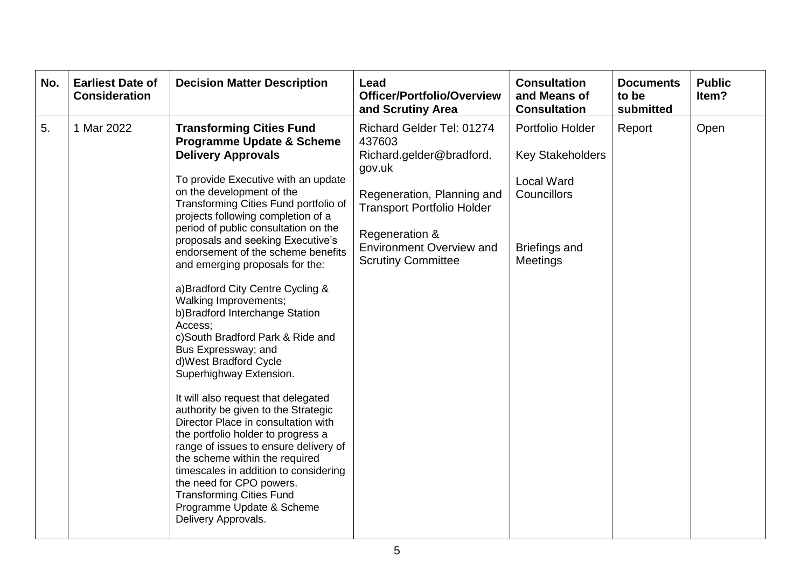| No. | <b>Earliest Date of</b><br><b>Consideration</b> | <b>Decision Matter Description</b>                                                                                                                                                                                                                                                                                                                                                                                                                                                                                                                                                                                                                                                                                                                                                                                                                                                                                                                                                                                                          | Lead<br>Officer/Portfolio/Overview<br>and Scrutiny Area                                                                                                                                                                        | <b>Consultation</b><br>and Means of<br><b>Consultation</b>                                                          | <b>Documents</b><br>to be<br>submitted | <b>Public</b><br>ltem? |
|-----|-------------------------------------------------|---------------------------------------------------------------------------------------------------------------------------------------------------------------------------------------------------------------------------------------------------------------------------------------------------------------------------------------------------------------------------------------------------------------------------------------------------------------------------------------------------------------------------------------------------------------------------------------------------------------------------------------------------------------------------------------------------------------------------------------------------------------------------------------------------------------------------------------------------------------------------------------------------------------------------------------------------------------------------------------------------------------------------------------------|--------------------------------------------------------------------------------------------------------------------------------------------------------------------------------------------------------------------------------|---------------------------------------------------------------------------------------------------------------------|----------------------------------------|------------------------|
| 5.  | 1 Mar 2022                                      | <b>Transforming Cities Fund</b><br><b>Programme Update &amp; Scheme</b><br><b>Delivery Approvals</b><br>To provide Executive with an update<br>on the development of the<br>Transforming Cities Fund portfolio of<br>projects following completion of a<br>period of public consultation on the<br>proposals and seeking Executive's<br>endorsement of the scheme benefits<br>and emerging proposals for the:<br>a) Bradford City Centre Cycling &<br>Walking Improvements;<br>b) Bradford Interchange Station<br>Access;<br>c)South Bradford Park & Ride and<br>Bus Expressway; and<br>d) West Bradford Cycle<br>Superhighway Extension.<br>It will also request that delegated<br>authority be given to the Strategic<br>Director Place in consultation with<br>the portfolio holder to progress a<br>range of issues to ensure delivery of<br>the scheme within the required<br>timescales in addition to considering<br>the need for CPO powers.<br><b>Transforming Cities Fund</b><br>Programme Update & Scheme<br>Delivery Approvals. | Richard Gelder Tel: 01274<br>437603<br>Richard.gelder@bradford.<br>gov.uk<br>Regeneration, Planning and<br><b>Transport Portfolio Holder</b><br>Regeneration &<br><b>Environment Overview and</b><br><b>Scrutiny Committee</b> | Portfolio Holder<br><b>Key Stakeholders</b><br><b>Local Ward</b><br>Councillors<br><b>Briefings and</b><br>Meetings | Report                                 | Open                   |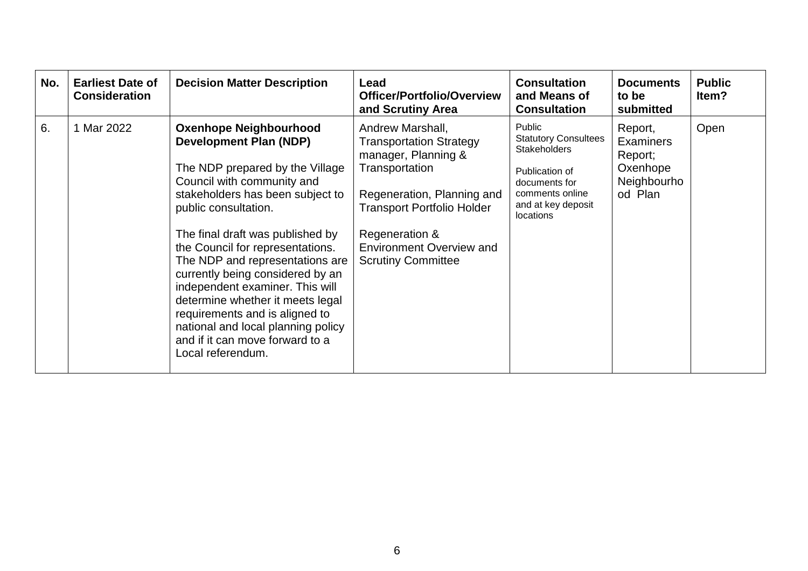| No. | <b>Earliest Date of</b><br><b>Consideration</b> | <b>Decision Matter Description</b>                                                                                                                                                                                                                                                                                                                                                                                                                                                                                                                | Lead<br><b>Officer/Portfolio/Overview</b><br>and Scrutiny Area                                                                                                                                                                                   | <b>Consultation</b><br>and Means of<br><b>Consultation</b>                                                                                            | <b>Documents</b><br>to be<br>submitted                                       | <b>Public</b><br>Item? |
|-----|-------------------------------------------------|---------------------------------------------------------------------------------------------------------------------------------------------------------------------------------------------------------------------------------------------------------------------------------------------------------------------------------------------------------------------------------------------------------------------------------------------------------------------------------------------------------------------------------------------------|--------------------------------------------------------------------------------------------------------------------------------------------------------------------------------------------------------------------------------------------------|-------------------------------------------------------------------------------------------------------------------------------------------------------|------------------------------------------------------------------------------|------------------------|
| 6.  | 1 Mar 2022                                      | <b>Oxenhope Neighbourhood</b><br><b>Development Plan (NDP)</b><br>The NDP prepared by the Village<br>Council with community and<br>stakeholders has been subject to<br>public consultation.<br>The final draft was published by<br>the Council for representations.<br>The NDP and representations are<br>currently being considered by an<br>independent examiner. This will<br>determine whether it meets legal<br>requirements and is aligned to<br>national and local planning policy<br>and if it can move forward to a<br>Local referendum. | Andrew Marshall,<br><b>Transportation Strategy</b><br>manager, Planning &<br>Transportation<br>Regeneration, Planning and<br><b>Transport Portfolio Holder</b><br>Regeneration &<br><b>Environment Overview and</b><br><b>Scrutiny Committee</b> | Public<br><b>Statutory Consultees</b><br><b>Stakeholders</b><br>Publication of<br>documents for<br>comments online<br>and at key deposit<br>locations | Report,<br><b>Examiners</b><br>Report;<br>Oxenhope<br>Neighbourho<br>od Plan | Open                   |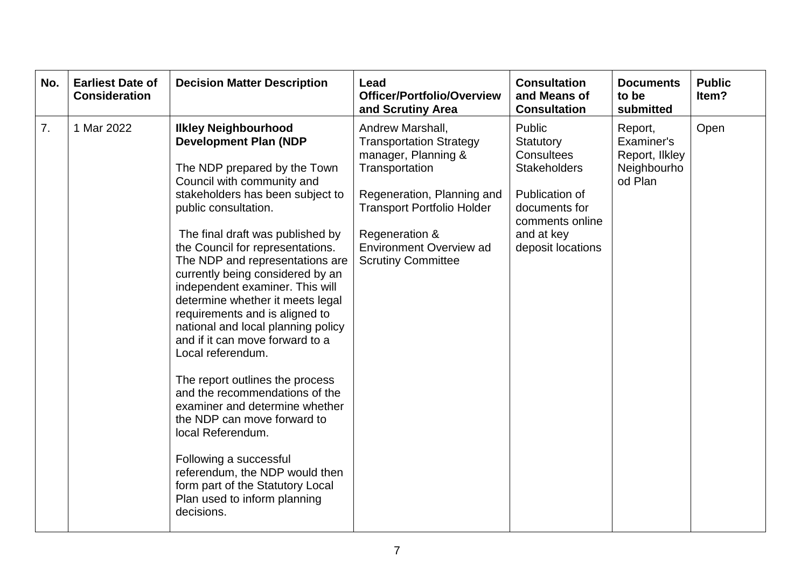| No. | <b>Earliest Date of</b><br><b>Consideration</b> | <b>Decision Matter Description</b>                                                                                                                                                                                                                                                                                                                                                                                                                                                                                                                                                                                                                                                                                                                                                                                                                   | Lead<br>Officer/Portfolio/Overview<br>and Scrutiny Area                                                                                                                                                                                         | <b>Consultation</b><br>and Means of<br><b>Consultation</b>                                                                                               | <b>Documents</b><br>to be<br>submitted                            | <b>Public</b><br>Item? |
|-----|-------------------------------------------------|------------------------------------------------------------------------------------------------------------------------------------------------------------------------------------------------------------------------------------------------------------------------------------------------------------------------------------------------------------------------------------------------------------------------------------------------------------------------------------------------------------------------------------------------------------------------------------------------------------------------------------------------------------------------------------------------------------------------------------------------------------------------------------------------------------------------------------------------------|-------------------------------------------------------------------------------------------------------------------------------------------------------------------------------------------------------------------------------------------------|----------------------------------------------------------------------------------------------------------------------------------------------------------|-------------------------------------------------------------------|------------------------|
| 7.  | 1 Mar 2022                                      | <b>Ilkley Neighbourhood</b><br><b>Development Plan (NDP</b><br>The NDP prepared by the Town<br>Council with community and<br>stakeholders has been subject to<br>public consultation.<br>The final draft was published by<br>the Council for representations.<br>The NDP and representations are<br>currently being considered by an<br>independent examiner. This will<br>determine whether it meets legal<br>requirements and is aligned to<br>national and local planning policy<br>and if it can move forward to a<br>Local referendum.<br>The report outlines the process<br>and the recommendations of the<br>examiner and determine whether<br>the NDP can move forward to<br>local Referendum.<br>Following a successful<br>referendum, the NDP would then<br>form part of the Statutory Local<br>Plan used to inform planning<br>decisions. | Andrew Marshall,<br><b>Transportation Strategy</b><br>manager, Planning &<br>Transportation<br>Regeneration, Planning and<br><b>Transport Portfolio Holder</b><br>Regeneration &<br><b>Environment Overview ad</b><br><b>Scrutiny Committee</b> | Public<br>Statutory<br><b>Consultees</b><br><b>Stakeholders</b><br>Publication of<br>documents for<br>comments online<br>and at key<br>deposit locations | Report,<br>Examiner's<br>Report, Ilkley<br>Neighbourho<br>od Plan | Open                   |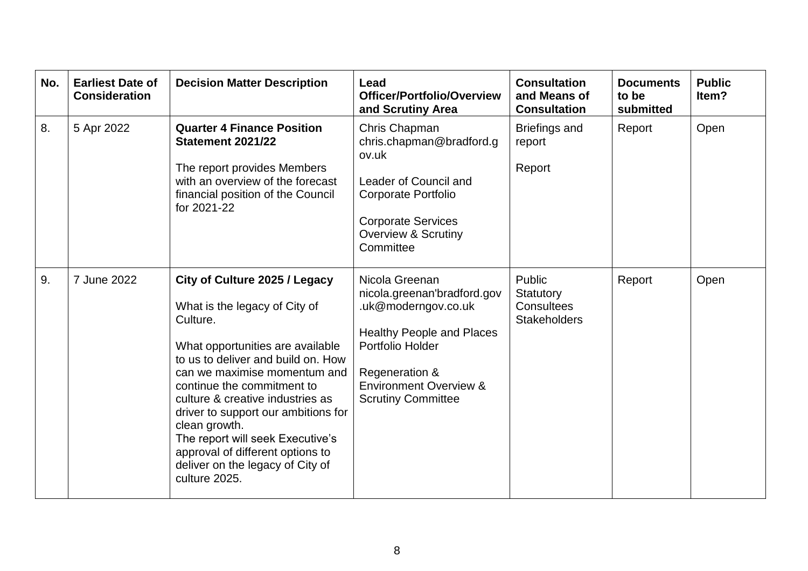| No. | <b>Earliest Date of</b><br><b>Consideration</b> | <b>Decision Matter Description</b>                                                                                                                                                                                                                                                                                                                                                                                                          | Lead<br>Officer/Portfolio/Overview<br>and Scrutiny Area                                                                                                                                                          | <b>Consultation</b><br>and Means of<br><b>Consultation</b>      | <b>Documents</b><br>to be<br>submitted | <b>Public</b><br>ltem? |
|-----|-------------------------------------------------|---------------------------------------------------------------------------------------------------------------------------------------------------------------------------------------------------------------------------------------------------------------------------------------------------------------------------------------------------------------------------------------------------------------------------------------------|------------------------------------------------------------------------------------------------------------------------------------------------------------------------------------------------------------------|-----------------------------------------------------------------|----------------------------------------|------------------------|
| 8.  | 5 Apr 2022                                      | <b>Quarter 4 Finance Position</b><br><b>Statement 2021/22</b><br>The report provides Members<br>with an overview of the forecast<br>financial position of the Council<br>for 2021-22                                                                                                                                                                                                                                                        | Chris Chapman<br>chris.chapman@bradford.g<br>ov.uk<br>Leader of Council and<br><b>Corporate Portfolio</b><br><b>Corporate Services</b><br><b>Overview &amp; Scrutiny</b><br>Committee                            | <b>Briefings and</b><br>report<br>Report                        | Report                                 | Open                   |
| 9.  | 7 June 2022                                     | City of Culture 2025 / Legacy<br>What is the legacy of City of<br>Culture.<br>What opportunities are available<br>to us to deliver and build on. How<br>can we maximise momentum and<br>continue the commitment to<br>culture & creative industries as<br>driver to support our ambitions for<br>clean growth.<br>The report will seek Executive's<br>approval of different options to<br>deliver on the legacy of City of<br>culture 2025. | Nicola Greenan<br>nicola.greenan'bradford.gov<br>.uk@moderngov.co.uk<br><b>Healthy People and Places</b><br>Portfolio Holder<br>Regeneration &<br><b>Environment Overview &amp;</b><br><b>Scrutiny Committee</b> | Public<br>Statutory<br><b>Consultees</b><br><b>Stakeholders</b> | Report                                 | Open                   |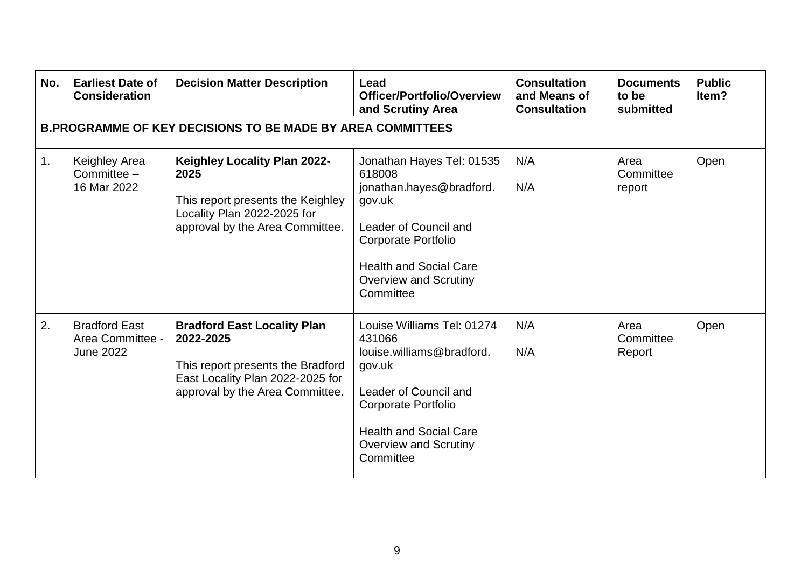| No.            | <b>Earliest Date of</b><br><b>Consideration</b>                   | <b>Decision Matter Description</b>                                                                                                                          | Lead<br>Officer/Portfolio/Overview<br>and Scrutiny Area                                                                                                                                                   | <b>Consultation</b><br>and Means of<br><b>Consultation</b> | <b>Documents</b><br>to be<br>submitted | <b>Public</b><br>Item? |  |  |  |  |
|----------------|-------------------------------------------------------------------|-------------------------------------------------------------------------------------------------------------------------------------------------------------|-----------------------------------------------------------------------------------------------------------------------------------------------------------------------------------------------------------|------------------------------------------------------------|----------------------------------------|------------------------|--|--|--|--|
|                | <b>B.PROGRAMME OF KEY DECISIONS TO BE MADE BY AREA COMMITTEES</b> |                                                                                                                                                             |                                                                                                                                                                                                           |                                                            |                                        |                        |  |  |  |  |
| $\mathbf{1}$ . | Keighley Area<br>Committee $-$<br>16 Mar 2022                     | <b>Keighley Locality Plan 2022-</b><br>2025<br>This report presents the Keighley<br>Locality Plan 2022-2025 for<br>approval by the Area Committee.          | Jonathan Hayes Tel: 01535<br>618008<br>jonathan.hayes@bradford.<br>gov.uk<br>Leader of Council and<br>Corporate Portfolio<br><b>Health and Social Care</b><br><b>Overview and Scrutiny</b><br>Committee   | N/A<br>N/A                                                 | Area<br>Committee<br>report            | Open                   |  |  |  |  |
| 2.             | <b>Bradford East</b><br>Area Committee -<br><b>June 2022</b>      | <b>Bradford East Locality Plan</b><br>2022-2025<br>This report presents the Bradford<br>East Locality Plan 2022-2025 for<br>approval by the Area Committee. | Louise Williams Tel: 01274<br>431066<br>louise.williams@bradford.<br>gov.uk<br>Leader of Council and<br>Corporate Portfolio<br><b>Health and Social Care</b><br><b>Overview and Scrutiny</b><br>Committee | N/A<br>N/A                                                 | Area<br>Committee<br>Report            | Open                   |  |  |  |  |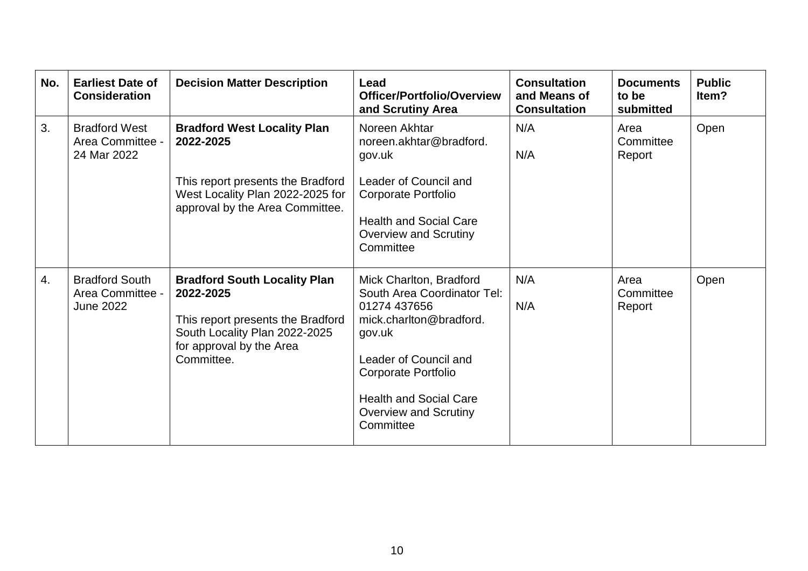| No. | <b>Earliest Date of</b><br><b>Consideration</b>               | <b>Decision Matter Description</b>                                                                                                                               | Lead<br>Officer/Portfolio/Overview<br>and Scrutiny Area                                                                                                                                                                                   | <b>Consultation</b><br>and Means of<br><b>Consultation</b> | <b>Documents</b><br>to be<br>submitted | <b>Public</b><br>ltem? |
|-----|---------------------------------------------------------------|------------------------------------------------------------------------------------------------------------------------------------------------------------------|-------------------------------------------------------------------------------------------------------------------------------------------------------------------------------------------------------------------------------------------|------------------------------------------------------------|----------------------------------------|------------------------|
| 3.  | <b>Bradford West</b><br>Area Committee -<br>24 Mar 2022       | <b>Bradford West Locality Plan</b><br>2022-2025<br>This report presents the Bradford<br>West Locality Plan 2022-2025 for<br>approval by the Area Committee.      | Noreen Akhtar<br>noreen.akhtar@bradford.<br>gov.uk<br>Leader of Council and<br>Corporate Portfolio<br><b>Health and Social Care</b><br><b>Overview and Scrutiny</b><br>Committee                                                          | N/A<br>N/A                                                 | Area<br>Committee<br>Report            | Open                   |
| 4.  | <b>Bradford South</b><br>Area Committee -<br><b>June 2022</b> | <b>Bradford South Locality Plan</b><br>2022-2025<br>This report presents the Bradford<br>South Locality Plan 2022-2025<br>for approval by the Area<br>Committee. | Mick Charlton, Bradford<br>South Area Coordinator Tel:<br>01274 437656<br>mick.charlton@bradford.<br>gov.uk<br>Leader of Council and<br>Corporate Portfolio<br><b>Health and Social Care</b><br><b>Overview and Scrutiny</b><br>Committee | N/A<br>N/A                                                 | Area<br>Committee<br>Report            | Open                   |